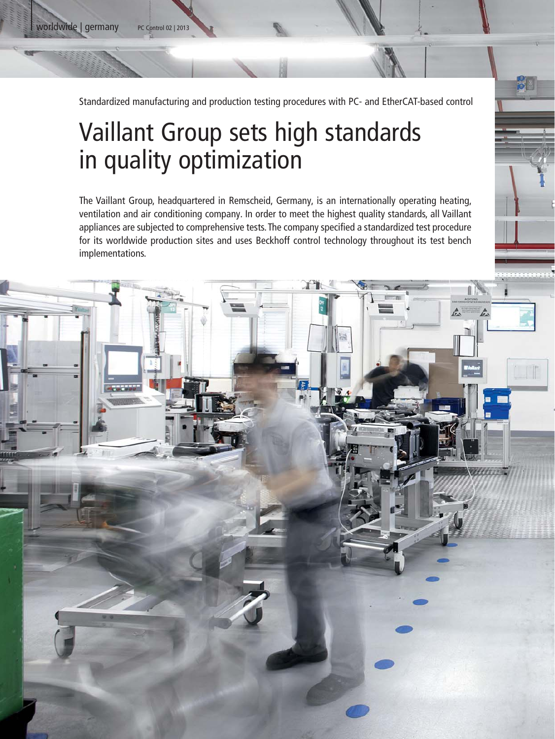Standardized manufacturing and production testing procedures with PC- and EtherCAT-based control

# Vaillant Group sets high standards in quality optimization

The Vaillant Group, headquartered in Remscheid, Germany, is an internationally operating heating, ventilation and air conditioning company. In order to meet the highest quality standards, all Vaillant appliances are subjected to comprehensive tests. The company specified a standardized test procedure for its worldwide production sites and uses Beckhoff control technology throughout its test bench implementations.

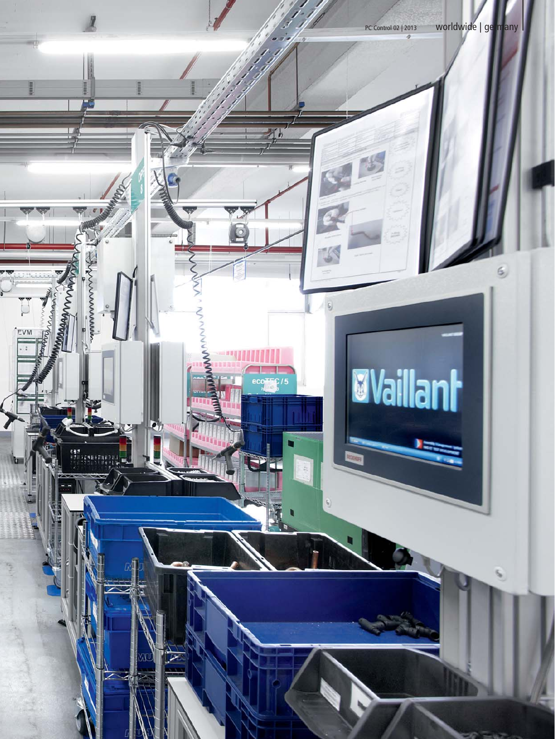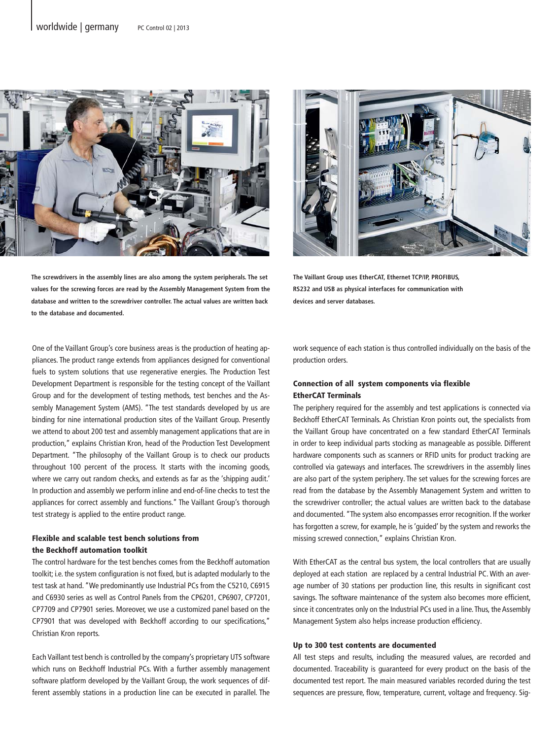



**The screwdrivers in the assembly lines are also among the system peripherals. The set values for the screwing forces are read by the Assembly Management System from the database and written to the screwdriver controller. The actual values are written back to the database and documented.**

One of the Vaillant Group's core business areas is the production of heating appliances. The product range extends from appliances designed for conventional fuels to system solutions that use regenerative energies. The Production Test Development Department is responsible for the testing concept of the Vaillant Group and for the development of testing methods, test benches and the Assembly Management System (AMS). "The test standards developed by us are binding for nine international production sites of the Vaillant Group. Presently we attend to about 200 test and assembly management applications that are in production," explains Christian Kron, head of the Production Test Development Department. "The philosophy of the Vaillant Group is to check our products throughout 100 percent of the process. It starts with the incoming goods, where we carry out random checks, and extends as far as the 'shipping audit.' In production and assembly we perform inline and end-of-line checks to test the appliances for correct assembly and functions." The Vaillant Group's thorough test strategy is applied to the entire product range.

## Flexible and scalable test bench solutions from the Beckhoff automation toolkit

The control hardware for the test benches comes from the Beckhoff automation toolkit; i.e. the system configuration is not fixed, but is adapted modularly to the test task at hand. "We predominantly use Industrial PCs from the C5210, C6915 and C6930 series as well as Control Panels from the CP6201, CP6907, CP7201, CP7709 and CP7901 series. Moreover, we use a customized panel based on the CP7901 that was developed with Beckhoff according to our specifications," Christian Kron reports.

Each Vaillant test bench is controlled by the company's proprietary UTS software which runs on Beckhoff Industrial PCs. With a further assembly management software platform developed by the Vaillant Group, the work sequences of different assembly stations in a production line can be executed in parallel. The work sequence of each station is thus controlled individually on the basis of the production orders.

## Connection of all system components via flexible EtherCAT Terminals

**The Vaillant Group uses EtherCAT, Ethernet TCP/IP, PROFIBUS, RS232 and USB as physical interfaces for communication with** 

**devices and server databases.**

The periphery required for the assembly and test applications is connected via Beckhoff EtherCAT Terminals. As Christian Kron points out, the specialists from the Vaillant Group have concentrated on a few standard EtherCAT Terminals in order to keep individual parts stocking as manageable as possible. Different hardware components such as scanners or RFID units for product tracking are controlled via gateways and interfaces. The screwdrivers in the assembly lines are also part of the system periphery. The set values for the screwing forces are read from the database by the Assembly Management System and written to the screwdriver controller; the actual values are written back to the database and documented. "The system also encompasses error recognition. If the worker has forgotten a screw, for example, he is 'guided' by the system and reworks the missing screwed connection," explains Christian Kron.

With EtherCAT as the central bus system, the local controllers that are usually deployed at each station are replaced by a central Industrial PC. With an average number of 30 stations per production line, this results in significant cost savings. The software maintenance of the system also becomes more efficient, since it concentrates only on the Industrial PCs used in a line. Thus, the Assembly Management System also helps increase production efficiency.

#### Up to 300 test contents are documented

All test steps and results, including the measured values, are recorded and documented. Traceability is guaranteed for every product on the basis of the documented test report. The main measured variables recorded during the test sequences are pressure, flow, temperature, current, voltage and frequency. Sig-